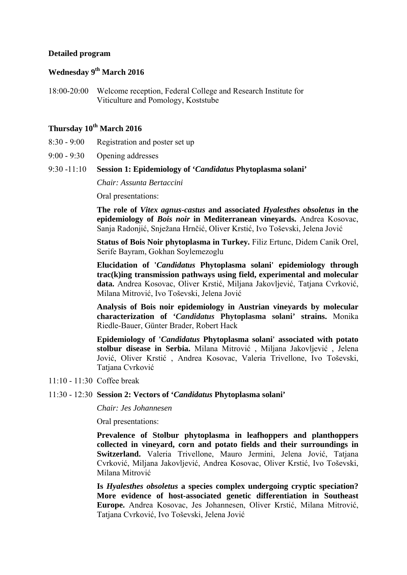## **Detailed program**

## **Wednesday 9th March 2016**

18:00-20:00 Welcome reception, Federal College and Research Institute for Viticulture and Pomology, Koststube

# **Thursday 10th March 2016**

- 8:30 9:00 Registration and poster set up
- 9:00 9:30 Opening addresses

## 9:30 -11:10 **Session 1: Epidemiology of '***Candidatus* **Phytoplasma solani'**

*Chair: Assunta Bertaccini* 

Oral presentations:

**The role of** *Vitex agnus-castus* **and associated** *Hyalesthes obsoletus* **in the epidemiology of** *Bois noir* **in Mediterranean vineyards.** Andrea Kosovac, Sanja Radonjić, Snježana Hrnčić, Oliver Krstić, Ivo Toševski, Jelena Jović

**Status of Bois Noir phytoplasma in Turkey.** Filiz Ertunc, Didem Canik Orel, Serife Bayram, Gokhan Soylemezoglu

**Elucidation of '***Candidatus* **Phytoplasma solani' epidemiology through trac(k)ing transmission pathways using field, experimental and molecular data.** Andrea Kosovac, Oliver Krstić, Miljana Jakovljević, Tatjana Cvrković, Milana Mitrović, Ivo Toševski, Jelena Jović

**Analysis of Bois noir epidemiology in Austrian vineyards by molecular characterization of '***Candidatus* **Phytoplasma solani' strains.** Monika Riedle-Bauer, Günter Brader, Robert Hack

**Epidemiology of '***Candidatus* **Phytoplasma solani' associated with potato stolbur disease in Serbia.** Milana Mitrović , Miljana Jakovljević , Jelena Jović, Oliver Krstić , Andrea Kosovac, Valeria Trivellone, Ivo Toševski, Tatjana Cvrković

11:10 - 11:30 Coffee break

#### 11:30 - 12:30 **Session 2: Vectors of '***Candidatus* **Phytoplasma solani'**

*Chair: Jes Johannesen* 

Oral presentations:

**Prevalence of Stolbur phytoplasma in leafhoppers and planthoppers collected in vineyard, corn and potato fields and their surroundings in Switzerland.** Valeria Trivellone, Mauro Jermini, Jelena Jović, Tatjana Cvrković, Miljana Jakovljević, Andrea Kosovac, Oliver Krstić, Ivo Toševski, Milana Mitrović

**Is** *Hyalesthes obsoletus* **a species complex undergoing cryptic speciation? More evidence of host-associated genetic differentiation in Southeast Europe.** Andrea Kosovac, Jes Johannesen, Oliver Krstić, Milana Mitrović, Tatjana Cvrković, Ivo Toševski, Jelena Jović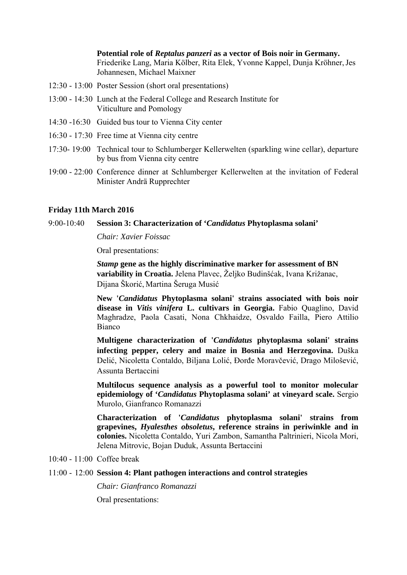**Potential role of** *Reptalus panzeri* **as a vector of Bois noir in Germany.**  Friederike Lang, Maria Kölber, Rita Elek, Yvonne Kappel, Dunja Kröhner,Jes Johannesen, Michael Maixner

- 12:30 13:00 Poster Session (short oral presentations)
- 13:00 14:30 Lunch at the Federal College and Research Institute for Viticulture and Pomology
- 14:30 -16:30 Guided bus tour to Vienna City center
- 16:30 17:30 Free time at Vienna city centre
- 17:30- 19:00 Technical tour to Schlumberger Kellerwelten (sparkling wine cellar), departure by bus from Vienna city centre
- 19:00 22:00 Conference dinner at Schlumberger Kellerwelten at the invitation of Federal Minister Andrä Rupprechter

### **Friday 11th March 2016**

## 9:00-10:40 **Session 3: Characterization of '***Candidatus* **Phytoplasma solani'**

*Chair: Xavier Foissac* 

Oral presentations:

*Stamp* **gene as the highly discriminative marker for assessment of BN variability in Croatia.** Jelena Plavec, Željko Budinšćak, Ivana Križanac, Dijana Škorić, Martina Šeruga Musić

**New '***Candidatus* **Phytoplasma solani' strains associated with bois noir disease in** *Vitis vinifera* **L. cultivars in Georgia.** Fabio Quaglino, David Maghradze, Paola Casati, Nona Chkhaidze, Osvaldo Failla, Piero Attilio Bianco

**Multigene characterization of '***Candidatus* **phytoplasma solani' strains infecting pepper, celery and maize in Bosnia and Herzegovina.** Duška Delić, Nicoletta Contaldo, Biljana Lolić, Đorđe Moravčević, Drago Milošević, Assunta Bertaccini

**Multilocus sequence analysis as a powerful tool to monitor molecular epidemiology of '***Candidatus* **Phytoplasma solani' at vineyard scale.** Sergio Murolo, Gianfranco Romanazzi

**Characterization of '***Candidatus* **phytoplasma solani' strains from grapevines,** *Hyalesthes obsoletus***, reference strains in periwinkle and in colonies.** Nicoletta Contaldo, Yuri Zambon, Samantha Paltrinieri, Nicola Mori, Jelena Mitrovic, Bojan Duduk, Assunta Bertaccini

10:40 - 11:00 Coffee break

#### 11:00 - 12:00 **Session 4: Plant pathogen interactions and control strategies**

*Chair: Gianfranco Romanazzi* 

Oral presentations: